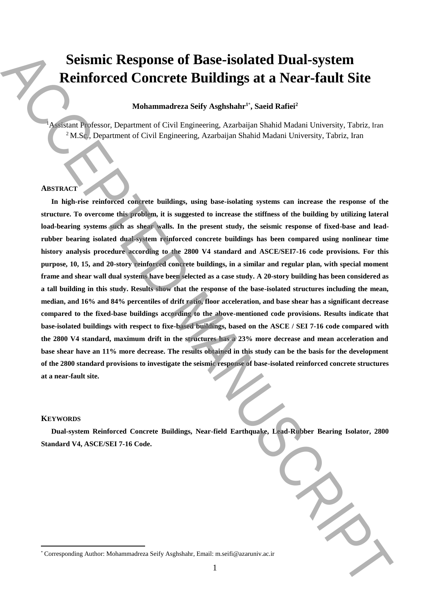# **Seismic Response of Base-isolated Dual-system Reinforced Concrete Buildings at a Near-fault Site**

# $\bf{M}$ ohammadreza Seify Asghshahr $\bf{1}^*$ , Saeid Rafiei $\bf{^2}$

<sup>1</sup>Assistant Professor, Department of Civil Engineering, Azarbaijan Shahid Madani University, Tabriz, Iran <sup>2</sup> M.Sc., Department of Civil Engineering, Azarbaijan Shahid Madani University, Tabriz, Iran

## **ABSTRACT**

**In high-rise reinforced concrete buildings, using base-isolating systems can increase the response of the structure. To overcome this problem, it is suggested to increase the stiffness of the building by utilizing lateral load-bearing systems such as shear walls. In the present study, the seismic response of fixed-base and leadrubber bearing isolated dual-system reinforced concrete buildings has been compared using nonlinear time history analysis procedure according to the 2800 V4 standard and ASCE/SEI7-16 code provisions. For this purpose, 10, 15, and 20-story reinforced concrete buildings, in a similar and regular plan, with special moment frame and shear wall dual systems have been selected as a case study. A 20-story building has been considered as a tall building in this study. Results show that the response of the base-isolated structures including the mean, median, and 16% and 84% percentiles of drift ratio, floor acceleration, and base shear has a significant decrease compared to the fixed-base buildings according to the above-mentioned code provisions. Results indicate that base-isolated buildings with respect to fixe-based buildings, based on the ASCE / SEI 7-16 code compared with the 2800 V4 standard, maximum drift in the structures has a 23% more decrease and mean acceleration and base shear have an 11% more decrease. The results obtained in this study can be the basis for the development of the 2800 standard provisions to investigate the seismic response of base-isolated reinforced concrete structures at a near-fault site.** Scientific Response of Basic-isolated Dual-system<br>
Reinforced Concrete Buildings at a Near-fault Site<br>
Mohammatres sity Asghshahr, Said Bafa<sup>2</sup><br>
Mohammadreza Seify Asghshahr, Said Bafa<sup>2</sup><br>
(No.18) Corresponding Authoritie

#### **KEYWORDS**

 $\overline{a}$ 

**Dual-system Reinforced Concrete Buildings, Near-field Earthquake, Lead-Rubber Bearing Isolator, 2800 Standard V4, ASCE/SEI 7-16 Code.**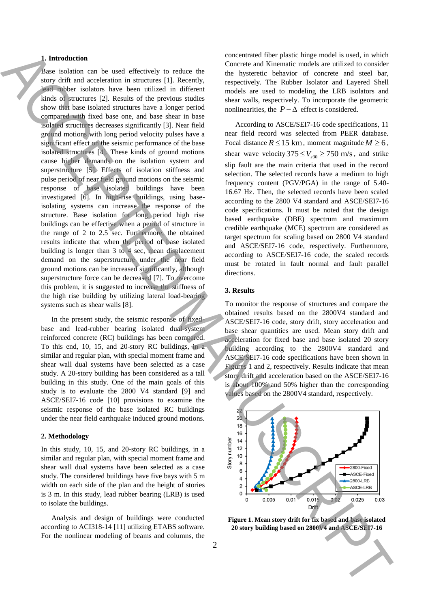## **1. Introduction**

Base isolation can be used effectively to reduce the story drift and acceleration in structures [1]. Recently, lead rubber isolators have been utilized in different kinds of structures [2]. Results of the previous studies show that base isolated structures have a longer period compared with fixed base one, and base shear in base isolated structures decreases significantly [3]. Near field ground motions with long period velocity pulses have a significant effect on the seismic performance of the base isolated structures [4]. These kinds of ground motions cause higher demands on the isolation system and superstructure [5]. Effects of isolation stiffness and pulse period of near field ground motions on the seismic response of base isolated buildings have been investigated [6]. In high-rise buildings, using baseisolating systems can increase the response of the structure. Base isolation for long period high rise buildings can be effective when a period of structure in the range of 2 to 2.5 sec. Furthermore, the obtained results indicate that when the period of base isolated building is longer than 3 to 4 sec, mean displacement demand on the superstructure under the near field ground motions can be increased significantly, although superstructure force can be decreased [7]. To overcome this problem, it is suggested to increase the stiffness of the high rise building by utilizing lateral load-bearing systems such as shear walls [8]. **20 story building** the model of the story building in the contrast of the story building in the story building in the story building in the story building in the story building in the story building in the story building

In the present study, the seismic response of fixedbase and lead-rubber bearing isolated dual-system reinforced concrete (RC) buildings has been compared. To this end, 10, 15, and 20-story RC buildings, in a similar and regular plan, with special moment frame and shear wall dual systems have been selected as a case study. A 20-story building has been considered as a tall building in this study. One of the main goals of this study is to evaluate the 2800 V4 standard [9] and ASCE/SEI7-16 code [10] provisions to examine the seismic response of the base isolated RC buildings under the near field earthquake induced ground motions.

#### **2. Methodology**

In this study, 10, 15, and 20-story RC buildings, in a similar and regular plan, with special moment frame and shear wall dual systems have been selected as a case study. The considered buildings have five bays with 5 m width on each side of the plan and the height of stories is 3 m. In this study, lead rubber bearing (LRB) is used to isolate the buildings.

Analysis and design of buildings were conducted according to ACI318-14 [11] utilizing ETABS software. For the nonlinear modeling of beams and columns, the

concentrated fiber plastic hinge model is used, in which Concrete and Kinematic models are utilized to consider the hysteretic behavior of concrete and steel bar, respectively. The Rubber Isolator and Layered Shell models are used to modeling the LRB isolators and shear walls, respectively. To incorporate the geometric nonlinearities, the  $P - \Delta$  effect is considered.

According to ASCE/SEI7-16 code specifications, 11 near field record was selected from PEER database. Focal distance  $R \le 15$  km, moment magnitude  $M \ge 6$ , shear wave velocity  $375 \le V_{s30} \ge 750$  m/s, and strike slip fault are the main criteria that used in the record selection. The selected records have a medium to high frequency content (PGV/PGA) in the range of 5.40- 16.67 Hz. Then, the selected records have been scaled according to the 2800 V4 standard and ASCE/SEI7-16 code specifications. It must be noted that the design based earthquake (DBE) spectrum and maximum credible earthquake (MCE) spectrum are considered as target spectrum for scaling based on 2800 V4 standard and ASCE/SEI7-16 code, respectively. Furthermore, according to ASCE/SEI7-16 code, the scaled records must be rotated in fault normal and fault parallel directions.

## **3. Results**

To monitor the response of structures and compare the obtained results based on the 2800V4 standard and ASCE/SEI7-16 code, story drift, story acceleration and base shear quantities are used. Mean story drift and acceleration for fixed base and base isolated 20 story building according to the 2800V4 standard and ASCE/SEI7-16 code specifications have been shown in Figures 1 and 2, respectively. Results indicate that mean story drift and acceleration based on the ASCE/SEI7-16 is about 100% and 50% higher than the corresponding values based on the 2800V4 standard, respectively.



**Figure 1. Mean story drift for fix based and base isolated**